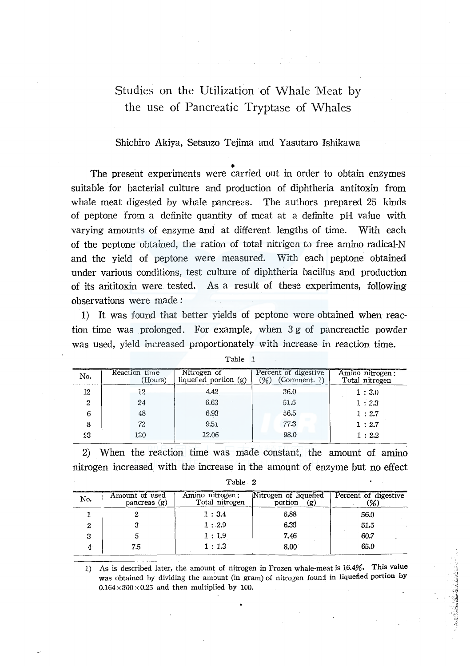# Studies on the Utilization of Whale Meat by the use of Pancreatic Tryptase of Whales

# Shichiro Akiya, Setsuzo Tejima and Yasutaro Ishikawa

The present experiments were carried out in order to obtain enzymes suitable for bacterial culture and production of diphtheria antitoxin from whale meat digested by whale pancreas. The authors prepared 25 kinds of peptone from a definite quantity of meat at a definite pH value with varying amounts of enzyme and at different lengths of time. With each of the peptone obtained, the ration of total nitrigen to free amino radical-N and the yield of peptone were measured. With each peptone obtained under various conditions, test culture of diphtheria bacillus and production of its arititoxin were tested. As a result of these experiments, following observations were made :

1) It was found that better yields of peptone were obtained when reaction time was prolonged. For example, when 3 g of pancreactic powder was used, yield increased proportionately with increase in reaction time.

| No.              | Reaction time<br>(Hours) | Nitrogen of<br>liquefied portion $(g)$ | Percent of digestive<br>(Comment. 1) | Amino nitrogen:<br>Total nitrogen |
|------------------|--------------------------|----------------------------------------|--------------------------------------|-----------------------------------|
| 12               | 12                       | 4.42                                   | 36.0                                 | 1:3.0                             |
| $\boldsymbol{2}$ | 24                       | 6.63                                   | 51.5                                 | 1:2.3                             |
| 6                | 48                       | 6.93                                   | 56.5                                 | 1:2.7                             |
| 8                | 72                       | 9.51                                   | 77.3                                 | 1:2.7                             |
| 23               | 120                      | 12.06                                  | 98.0                                 | 1:2.2                             |

Table 1

2) When the reaction time was made constant, the amount of amino nitrogen increased with the increase in the amount of enzyme but no effect

| No. | Amount of used<br>pancreas $(g)$ | Amino nitrogen:<br>Total nitrogen | Nitrogen of liquefied<br>portion<br>(g) | Percent of digestive<br>36. |
|-----|----------------------------------|-----------------------------------|-----------------------------------------|-----------------------------|
|     |                                  | 1:3.4                             | 6.88                                    | 56.0                        |
| ∠   |                                  | 1:2.9                             | 6.33                                    | 51.5                        |
|     |                                  | 1:1.9                             | 7.46                                    | 60.7                        |
|     | 7.5                              | 1:1.3                             | 8.00                                    | 65.0                        |

Table 2

1) As is described later, the amount of nitrogen in Frozen whale-meat is 16.4%. This value was obtained by dividing the amount (in gram) of nitrogen found in liquefied portion by  $0.164 \times 300 \times 0.25$  and then multiplied by 100.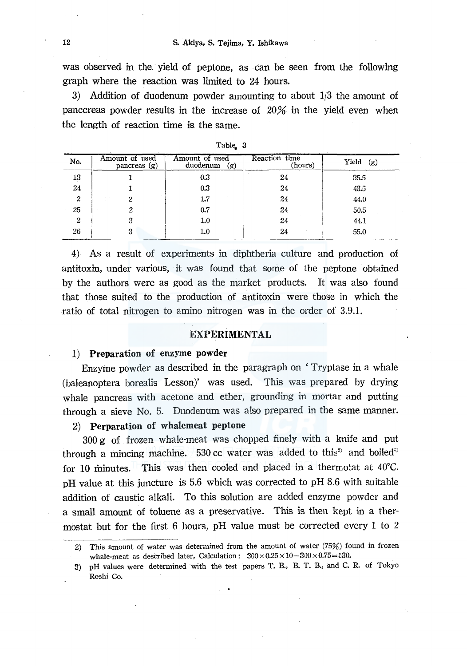was observed in the yield of peptone, as can be seen from the following graph where the reaction was limited to 24 hours.

3) Addition of duodenum powder amounting to about 1/3 the amount of panccreas powder results in the increase of 20% in the yield even when the length of reaction time is the same.

| No. | Amount of used<br>pancreas (g) | Amount of used<br>duodenum<br>(g) | Reaction time<br>(hours) | Yield<br>(g) |
|-----|--------------------------------|-----------------------------------|--------------------------|--------------|
| 13  |                                | $0.3\,$                           | 24                       | 35.5         |
| 24  |                                | 0.3                               | 24                       | 43.5         |
| 2   |                                | 1.7                               | 24                       | 44.0         |
| 25  |                                | 0.7                               | 24                       | 50.5         |
| 2   |                                | $1.0\,$                           | 24                       | 44.1         |
| 26  |                                | 1.0                               | 24                       | 55.0         |

Table, 3

4) As a result of experiments in diphtheria culture and production of antitoxin, under various, it was found that some of the peptone obtained by the authors were as good as the market products. It was also found that those suited to the production of antitoxin were those in which the ratio of total nitrogen to amino nitrogen was in the order of 3.9.1.

# EXPERIMENTAL

#### 1) Preparation of enzyme powder

Enzyme powder as described in the paragraph on 'Tryptase in a whale (baleanoptera borealis Lesson)' was used. This was prepared by drying whale pancreas with acetone and ether, grounding in mortar and putting through a sieve No. 5. Duodenum was also prepared in the same manner.

# 2) Perparation of whalemeat peptone

300 g of frozen whale-meat was chopped finely with a knife and put through a mincing machine. 530 cc water was added to this<sup>3</sup> and boiled<sup>33</sup> for 10 minutes. This was then cooled and placed in a thermotat at  $40^{\circ}$ C. pH value at this juncture is 5.6 which was corrected to pH 8.6 with suitable addition of caustic alkali. To this solution are added enzyme powder and a small amount of toluene as a preservative. This is then kept in a thermostat but for the first 6 hours, pH value must be corrected every 1 to 2

<sup>2)</sup> This amount of water was determined from the amount of water (75%) found in frozen whale-meat as described later, Calculation:  $300 \times 0.25 \times 10 - 300 \times 0.75 = 530$ .

<sup>3)</sup> pH values were determined with the test papers T. B., B. T. B., and C. R. of Tokyo Roshi Co.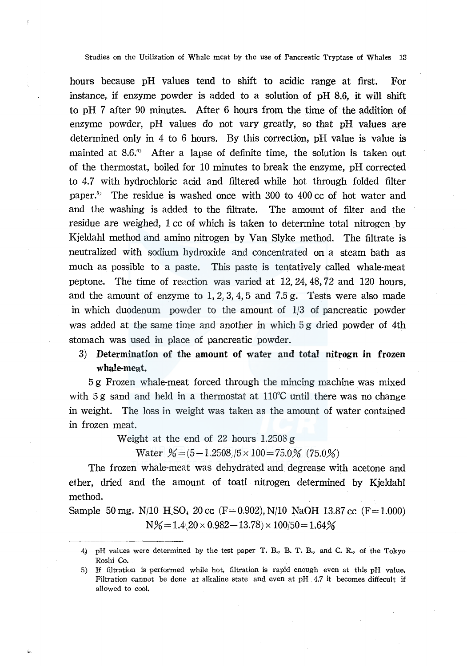Studies on the Utilization of Whale meat by the use of Pancreatic Tryptase of Whales 13

hours because pH values tend to shift to acidic range at first. For instance, if enzyme powder is added to a solution of pH 8.6, it will shift to pH 7 after 90 minutes. After 6 hours from the time of the addition of enzyme powder,  $pH$  values do not vary greatly, so that  $pH$  values are determined only in 4 to 6 hours. By this correction, pH value is value is mainted at 8.6.<sup>4</sup> After a lapse of definite time, the solution is taken out of the thermostat, boiled for 10 minutes to break the enzyme, pH corrected to 4.7 with hydrochloric acid and filtered while hot through folded filter paper.<sup>5)</sup> The residue is washed once with 300 to 400 cc of hot water and and the washing is added to the filtrate. The amount of filter and the residue are weighed, 1 cc of which is taken to determine total nitrogen by Kjeldahl method and amino nitrogen by Van Slyke method. The filtrate is neutralized with sodium hydroxide and concentrated on a steam bath as much as possible to a paste. This paste is tentatively called whale-meat peptone. The time of reaction was varied at 12, 24, 48, 72 and 120 hours, and the amount of enzyme to  $1, 2, 3, 4, 5$  and  $7.5$  g. Tests were also made in which duodenum powder to the amount of 1/3 of pancreatic powder was added at the same time and another in which 5 g dried powder of 4th stomach was used in place of pancreatic powder.

# 3) Determination of the amount of water and total nitrogn in frozen whale-meat.

5 g Frozen whale-meat forced through the mincing machine was mixed with 5 g sand and held in a thermostat at  $110^{\circ}$ C until there was no change in weight. The loss in weight was taken as the amount of water contained in frozen meat.

Weight at the end of 22 hours  $1.2508 g$ 

Water  $\frac{\%}{6}$  = (5 - 1.2508 / 5 × 100 = 75.0 % (75.0 %)

The frozen whale-meat was dehydrated and degrease with acetone and ether, dried and the amount of toatl nitrogen determined by Kjeldahl method.

Sample 50 mg. N/10 H SO<sub>4</sub> 20 cc (F= 0.902), N/10 NaOH 13.87 cc (F= 1.000)  $N\% = 1.4(20 \times 0.982 - 13.78) \times 100/50 = 1.64\%$ 

<sup>4}</sup> pH values were determined by the test paper T. B., B. T. B., and C. R., of the Tokyo Roshi Co.

<sup>5)</sup> If filtration is performed while hot, filtration is rapid enough even at this pH value. Filtration cannot be done at alkaline state and even at pH 4.7 it becomes diffecult if allowed to cool.